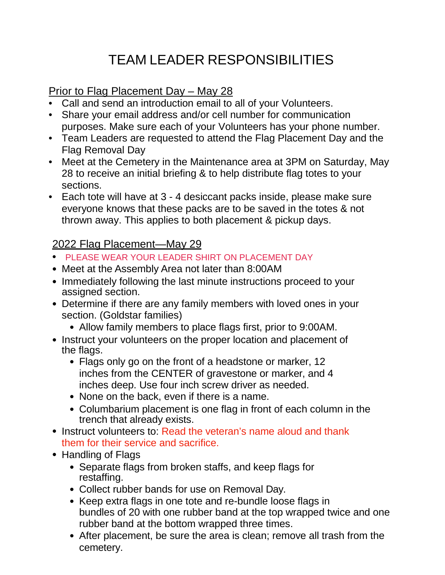## TEAM LEADER RESPONSIBILITIES

## Prior to Flag Placement Day – May 28

- Call and send an introduction email to all of your Volunteers.
- Share your email address and/or cell number for communication purposes. Make sure each of your Volunteers has your phone number.
- Team Leaders are requested to attend the Flag Placement Day and the Flag Removal Day
- Meet at the Cemetery in the Maintenance area at 3PM on Saturday, May 28 to receive an initial briefing & to help distribute flag totes to your sections.
- Each tote will have at 3 4 desiccant packs inside, please make sure everyone knows that these packs are to be saved in the totes & not thrown away. This applies to both placement & pickup days.

## 2022 Flag Placement—May 29

- PLEASE WEAR YOUR LEADER SHIRT ON PLACEMENT DAY
- Meet at the Assembly Area not later than 8:00AM
- Immediately following the last minute instructions proceed to your assigned section.
- Determine if there are any family members with loved ones in your section. (Goldstar families)
	- Allow family members to place flags first, prior to 9:00AM.
- Instruct your volunteers on the proper location and placement of the flags.
	- Flags only go on the front of a headstone or marker, 12 inches from the CENTER of gravestone or marker, and 4 inches deep. Use four inch screw driver as needed.
	- None on the back, even if there is a name.
	- Columbarium placement is one flag in front of each column in the trench that already exists.
- Instruct volunteers to: Read the veteran's name aloud and thank them for their service and sacrifice.
- Handling of Flags
	- Separate flags from broken staffs, and keep flags for restaffing.
	- Collect rubber bands for use on Removal Day.
	- Keep extra flags in one tote and re-bundle loose flags in bundles of 20 with one rubber band at the top wrapped twice and one rubber band at the bottom wrapped three times.
	- After placement, be sure the area is clean; remove all trash from the cemetery.